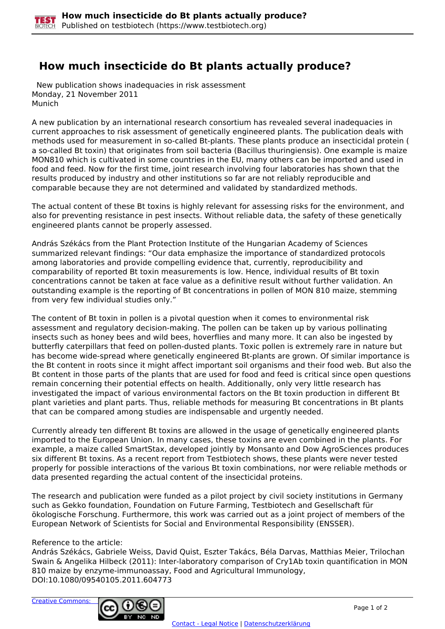## **How much insecticide do Bt plants actually produce?**

 New publication shows inadequacies in risk assessment Monday, 21 November 2011 Munich

A new publication by an international research consortium has revealed several inadequacies in current approaches to risk assessment of genetically engineered plants. The publication deals with methods used for measurement in so-called Bt-plants. These plants produce an insecticidal protein ( a so-called Bt toxin) that originates from soil bacteria (Bacillus thuringiensis). One example is maize MON810 which is cultivated in some countries in the EU, many others can be imported and used in food and feed. Now for the first time, joint research involving four laboratories has shown that the results produced by industry and other institutions so far are not reliably reproducible and comparable because they are not determined and validated by standardized methods.

The actual content of these Bt toxins is highly relevant for assessing risks for the environment, and also for preventing resistance in pest insects. Without reliable data, the safety of these genetically engineered plants cannot be properly assessed.

András Székács from the Plant Protection Institute of the Hungarian Academy of Sciences summarized relevant findings: "Our data emphasize the importance of standardized protocols among laboratories and provide compelling evidence that, currently, reproducibility and comparability of reported Bt toxin measurements is low. Hence, individual results of Bt toxin concentrations cannot be taken at face value as a definitive result without further validation. An outstanding example is the reporting of Bt concentrations in pollen of MON 810 maize, stemming from very few individual studies only."

The content of Bt toxin in pollen is a pivotal question when it comes to environmental risk assessment and regulatory decision-making. The pollen can be taken up by various pollinating insects such as honey bees and wild bees, hoverflies and many more. It can also be ingested by butterfly caterpillars that feed on pollen-dusted plants. Toxic pollen is extremely rare in nature but has become wide-spread where genetically engineered Bt-plants are grown. Of similar importance is the Bt content in roots since it might affect important soil organisms and their food web. But also the Bt content in those parts of the plants that are used for food and feed is critical since open questions remain concerning their potential effects on health. Additionally, only very little research has investigated the impact of various environmental factors on the Bt toxin production in different Bt plant varieties and plant parts. Thus, reliable methods for measuring Bt concentrations in Bt plants that can be compared among studies are indispensable and urgently needed.

Currently already ten different Bt toxins are allowed in the usage of genetically engineered plants imported to the European Union. In many cases, these toxins are even combined in the plants. For example, a maize called SmartStax, developed jointly by Monsanto and Dow AgroSciences produces six different Bt toxins. As a recent report from Testbiotech shows, these plants were never tested properly for possible interactions of the various Bt toxin combinations, nor were reliable methods or data presented regarding the actual content of the insecticidal proteins.

The research and publication were funded as a pilot project by civil society institutions in Germany such as Gekko foundation, Foundation on Future Farming, Testbiotech and Gesellschaft für ökologische Forschung. Furthermore, this work was carried out as a joint project of members of the European Network of Scientists for Social and Environmental Responsibility (ENSSER).

## Reference to the article:

András Székács, Gabriele Weiss, David Quist, Eszter Takács, Béla Darvas, Matthias Meier, Trilochan Swain & Angelika Hilbeck (2011): Inter-laboratory comparison of Cry1Ab toxin quantification in MON 810 maize by enzyme-immunoassay, Food and Agricultural Immunology, DOI:10.1080/09540105.2011.604773

[Creative Commons:](http://creativecommons.org/licenses/by-nc-nd/3.0/de/)